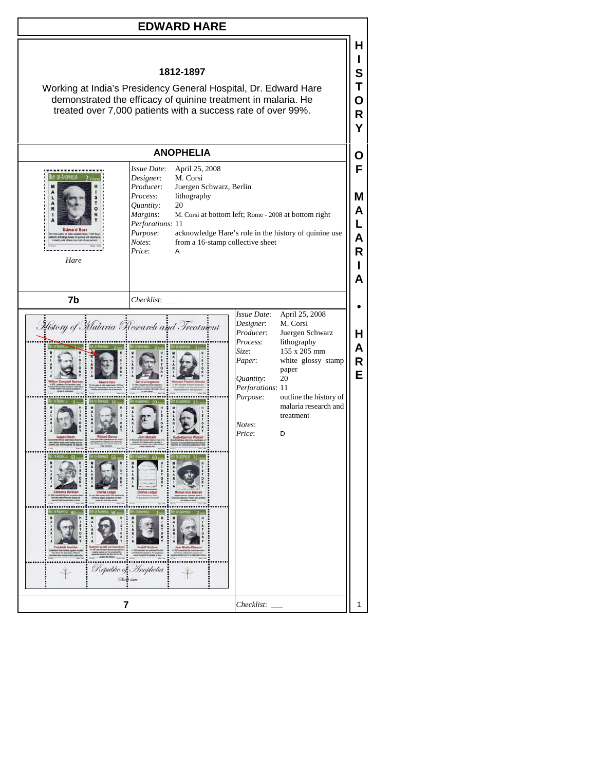